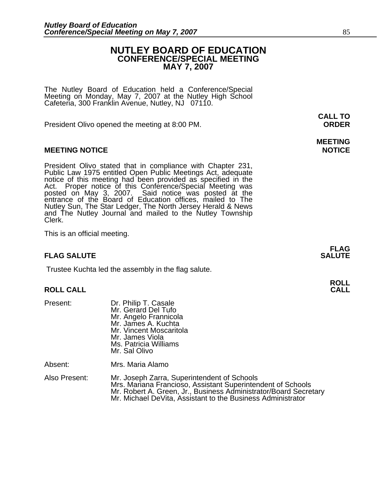# **NUTLEY BOARD OF EDUCATION CONFERENCE/SPECIAL MEETING MAY 7, 2007**

**MEETING** 

The Nutley Board of Education held a Conference/Special Meeting on Monday, May 7, 2007 at the Nutley High School Cafeteria, 300 Franklin Avenue, Nutley, NJ 07110.

President Olivo opened the meeting at 8:00 PM. **ORDER**

### **MEETING NOTICE NOTICE REPORTS AND ALCOHOL**

President Olivo stated that in compliance with Chapter 231,<br>Public Law 1975 entitled Open Public Meetings Act, adequate<br>notice of this meeting had been provided as specified in the<br>Act. Proper notice of this Conference/Spe Nutley Sun, The Star Ledger, The North Jersey Herald & News<br>and The Nutley Journal and mailed to the Nutley Township<br>Clerk.

This is an official meeting.

#### **FLAG FLAG SALUTE** SALUTE SALUTE SALUTE SALUTE SALUTE

Trustee Kuchta led the assembly in the flag salute.

# **ROLL ROLL CALL CALL**

| Present:      | Dr. Philip T. Casale<br>Mr. Gerard Del Tufo<br>Mr. Angelo Frannicola<br>Mr. James A. Kuchta<br>Mr. Vincent Moscaritola<br>Mr. James Viola<br>Ms. Patricia Williams<br>Mr. Sal Olivo |
|---------------|-------------------------------------------------------------------------------------------------------------------------------------------------------------------------------------|
| Absent:       | Mrs. Maria Alamo                                                                                                                                                                    |
| Also Present: | Mr. Joseph Zarra, Superintendent of Schools<br>Mrs. Mariana Francioso, Assistant Superinten<br>Mr. Robert A. Green, Jr., Business Administra                                        |

Mrs. Mariana Francioso, Assistant Superintendent of Schools<br>Mr. Robert A. Green, Jr., Business Administrator/Board Secretary<br>Mr. Michael DeVita, Assistant to the Business Administrator